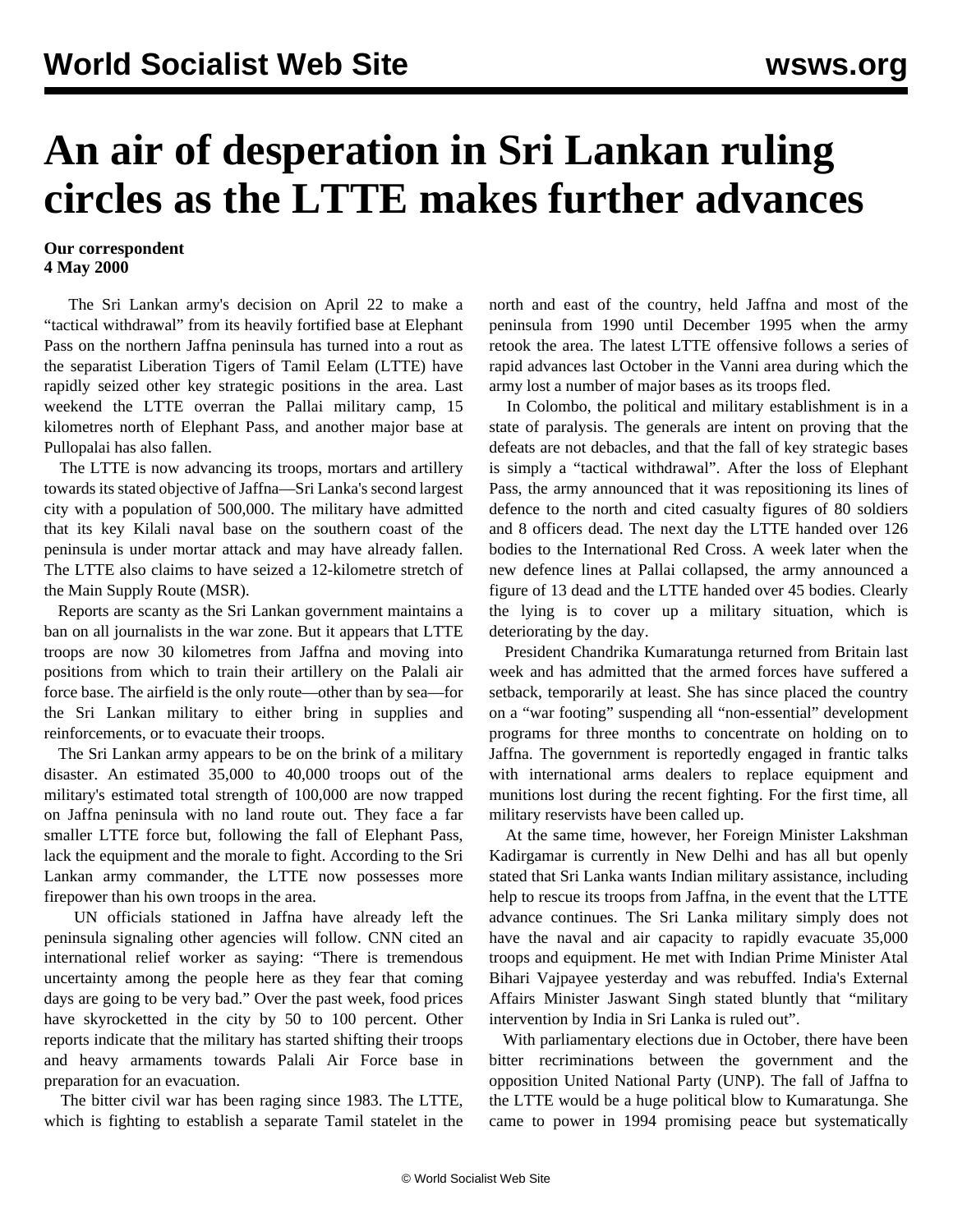## **An air of desperation in Sri Lankan ruling circles as the LTTE makes further advances**

## **Our correspondent 4 May 2000**

 The Sri Lankan army's decision on April 22 to make a "tactical withdrawal" from its heavily fortified base at Elephant Pass on the northern Jaffna peninsula has turned into a rout as the separatist Liberation Tigers of Tamil Eelam (LTTE) have rapidly seized other key strategic positions in the area. Last weekend the LTTE overran the Pallai military camp, 15 kilometres north of Elephant Pass, and another major base at Pullopalai has also fallen.

 The LTTE is now advancing its troops, mortars and artillery towards its stated objective of Jaffna—Sri Lanka's second largest city with a population of 500,000. The military have admitted that its key Kilali naval base on the southern coast of the peninsula is under mortar attack and may have already fallen. The LTTE also claims to have seized a 12-kilometre stretch of the Main Supply Route (MSR).

 Reports are scanty as the Sri Lankan government maintains a ban on all journalists in the war zone. But it appears that LTTE troops are now 30 kilometres from Jaffna and moving into positions from which to train their artillery on the Palali air force base. The airfield is the only route—other than by sea—for the Sri Lankan military to either bring in supplies and reinforcements, or to evacuate their troops.

 The Sri Lankan army appears to be on the brink of a military disaster. An estimated 35,000 to 40,000 troops out of the military's estimated total strength of 100,000 are now trapped on Jaffna peninsula with no land route out. They face a far smaller LTTE force but, following the fall of Elephant Pass, lack the equipment and the morale to fight. According to the Sri Lankan army commander, the LTTE now possesses more firepower than his own troops in the area.

 UN officials stationed in Jaffna have already left the peninsula signaling other agencies will follow. CNN cited an international relief worker as saying: "There is tremendous uncertainty among the people here as they fear that coming days are going to be very bad." Over the past week, food prices have skyrocketted in the city by 50 to 100 percent. Other reports indicate that the military has started shifting their troops and heavy armaments towards Palali Air Force base in preparation for an evacuation.

 The bitter civil war has been raging since 1983. The LTTE, which is fighting to establish a separate Tamil statelet in the north and east of the country, held Jaffna and most of the peninsula from 1990 until December 1995 when the army retook the area. The latest LTTE offensive follows a series of rapid advances last October in the Vanni area during which the army lost a number of major bases as its troops fled.

 In Colombo, the political and military establishment is in a state of paralysis. The generals are intent on proving that the defeats are not debacles, and that the fall of key strategic bases is simply a "tactical withdrawal". After the loss of Elephant Pass, the army announced that it was repositioning its lines of defence to the north and cited casualty figures of 80 soldiers and 8 officers dead. The next day the LTTE handed over 126 bodies to the International Red Cross. A week later when the new defence lines at Pallai collapsed, the army announced a figure of 13 dead and the LTTE handed over 45 bodies. Clearly the lying is to cover up a military situation, which is deteriorating by the day.

 President Chandrika Kumaratunga returned from Britain last week and has admitted that the armed forces have suffered a setback, temporarily at least. She has since placed the country on a "war footing" suspending all "non-essential" development programs for three months to concentrate on holding on to Jaffna. The government is reportedly engaged in frantic talks with international arms dealers to replace equipment and munitions lost during the recent fighting. For the first time, all military reservists have been called up.

 At the same time, however, her Foreign Minister Lakshman Kadirgamar is currently in New Delhi and has all but openly stated that Sri Lanka wants Indian military assistance, including help to rescue its troops from Jaffna, in the event that the LTTE advance continues. The Sri Lanka military simply does not have the naval and air capacity to rapidly evacuate 35,000 troops and equipment. He met with Indian Prime Minister Atal Bihari Vajpayee yesterday and was rebuffed. India's External Affairs Minister Jaswant Singh stated bluntly that "military intervention by India in Sri Lanka is ruled out".

 With parliamentary elections due in October, there have been bitter recriminations between the government and the opposition United National Party (UNP). The fall of Jaffna to the LTTE would be a huge political blow to Kumaratunga. She came to power in 1994 promising peace but systematically